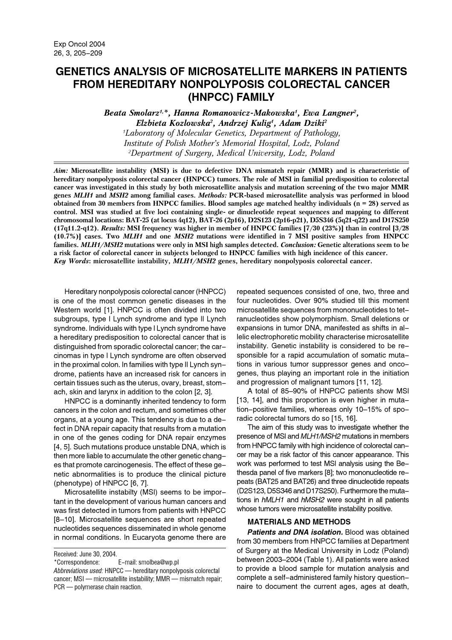# **GENETICS ANALYSIS OF MICROSATELLITE MARKERS IN PATIENTS FROM HEREDITARY NONPOLYPOSIS COLORECTAL CANCER** (HNPCC) FAMILY

Beata Smolarz<sup>1,\*</sup>, Hanna Romanowicz-Makowska<sup>1</sup>, Ewa Langner<sup>2</sup>, Elzbieta Kozlowska<sup>2</sup>, Andrzej Kulig<sup>1</sup>, Adam Dziki<sup>2</sup> <sup>1</sup>Laboratory of Molecular Genetics, Department of Pathology, Institute of Polish Mother's Memorial Hospital, Lodz, Poland <sup>2</sup>Department of Surgery, Medical University, Lodz, Poland

Aim: Microsatellite instability (MSI) is due to defective DNA mismatch repair (MMR) and is characteristic of hereditary nonpolyposis colorectal cancer (HNPCC) tumors. The role of MSI in familial predisposition to colorectal cancer was investigated in this study by both microsatellite analysis and mutation screening of the two major MMR genes MLH1 and MSH2 among familial cases. Methods: PCR-based microsatellite analysis was performed in blood obtained from 30 members from HNPCC families. Blood samples age matched healthy individuals ( $n = 28$ ) served as control. MSI was studied at five loci containing single- or dinucleotide repeat sequences and mapping to different chromosomal locations: BAT-25 (at locus 4q12), BAT-26 (2p16), D2S123 (2p16-p21), D5S346 (5q21-q22) and D17S250  $(17q11.2-q12)$ . Results: MSI frequency was higher in member of HNPCC families  $[7/30 (23%)]$  than in control  $[3/28]$ (10.7%)] cases. Two MLH1 and one MSH2 mutations were identified in 7 MSI positive samples from HNPCC families. MLH1/MSH2 mutations were only in MSI high samples detected. Conclusion: Genetic alterations seem to be a risk factor of colorectal cancer in subjects belonged to HNPCC families with high incidence of this cancer. Key Words: microsatellite instability, MLH1/MSH2 genes, hereditary nonpolyposis colorectal cancer.

Hereditary nonpolyposis colorectal cancer (HNPCC) is one of the most common genetic diseases in the Western world [1]. HNPCC is often divided into two subgroups, type I Lynch syndrome and type II Lynch syndrome. Individuals with type I Lynch syndrome have a hereditary predisposition to colorectal cancer that is distinguished from sporadic colorectal cancer: the carcinomas in type I Lynch syndrome are often observed in the proximal colon. In families with type II Lynch syndrome, patients have an increased risk for cancers in certain tissues such as the uterus, ovary, breast, stomach, skin and larynx in addition to the colon [2, 3].

HNPCC is a dominantly inherited tendency to form cancers in the colon and rectum, and sometimes other organs, at a young age. This tendency is due to a defect in DNA repair capacity that results from a mutation in one of the genes coding for DNA repair enzymes [4, 5]. Such mutations produce unstable DNA, which is then more liable to accumulate the other genetic changes that promote carcinogenesis. The effect of these genetic abnormalities is to produce the clinical picture (phenotype) of HNPCC [6, 7].

Microsatellite instabilty (MSI) seems to be important in the development of various human cancers and was first detected in tumors from patients with HNPCC [8-10]. Microsatellite sequences are short repeated nucleotides sequences disseminated in whole genome in normal conditions. In Eucaryota genome there are repeated sequences consisted of one, two, three and four nucleotides. Over 90% studied till this moment microsatellite sequences from mononucleotides to tetranucleotides show polymorphism. Small deletions or expansions in tumor DNA, manifested as shifts in allelic electrophoretic mobility characterise microsatellite instability. Genetic instability is considered to be responsible for a rapid accumulation of somatic mutations in various tumor suppressor genes and oncogenes, thus playing an important role in the initiation and progression of malignant tumors [11, 12].

A total of 85-90% of HNPCC patients show MSI [13, 14], and this proportion is even higher in mutation-positive families, whereas only 10-15% of sporadic colorectal tumors do so [15, 16].

The aim of this study was to investigate whether the presence of MSI and MLH1/MSH2 mutations in members from HNPCC family with high incidence of colorectal cancer may be a risk factor of this cancer appearance. This work was performed to test MSI analysis using the Bethesda panel of five markers [8]; two mononucleotide repeats (BAT25 and BAT26) and three dinucleotide repeats (D2S123, D5S346 and D17S250). Furthermore the mutations in hMLH1 and hMSH2 were sought in all patients whose tumors were microsatellite instability positive.

### **MATERIALS AND METHODS**

**Patients and DNA isolation.** Blood was obtained from 30 members from HNPCC families at Department of Surgery at the Medical University in Lodz (Poland) between 2003-2004 (Table 1). All patients were asked to provide a blood sample for mutation analysis and complete a self-administered family history questionnaire to document the current ages, ages at death,

Received: June 30, 2004.

E-mail: smolbea@wp.pl \*Correspondence:

Abbreviations used: HNPCC - hereditary nonpolyposis colorectal cancer; MSI - microsatellite instability; MMR - mismatch repair; PCR - polymerase chain reaction.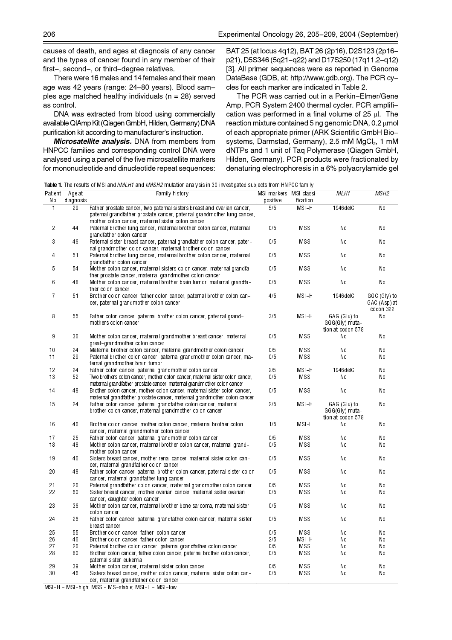causes of death, and ages at diagnosis of any cancer and the types of cancer found in any member of their first-, second-, or third-degree relatives.

There were 16 males and 14 females and their mean age was 42 years (range: 24-80 years). Blood samples age matched healthy individuals ( $n = 28$ ) served as control.

DNA was extracted from blood using commercially available QIAmp Kit (Qiagen GmbH, Hilden, Germany) DNA purification kit according to manufacturer's instruction.

Microsatellite analysis. DNA from members from HNPCC families and corresponding control DNA were analysed using a panel of the five microsatellite markers for mononucleotide and dinucleotide repeat sequences: BAT 25 (at locus 4q12), BAT 26 (2p16), D2S123 (2p16p21), D5S346 (5q21-q22) and D17S250 (17q11.2-q12) [3]. All primer sequences were as reported in Genome DataBase (GDB, at: http://www.gdb.org). The PCR cycles for each marker are indicated in Table 2.

The PCR was carried out in a Perkin-Elmer/Gene Amp, PCR System 2400 thermal cycler. PCR amplification was performed in a final volume of 25  $\mu$ l. The reaction mixture contained 5 ng genomic DNA, 0.2 umol of each appropriate primer (ARK Scientific GmbH Biosystems, Darmstad, Germany), 2.5 mM MgCl<sub>2</sub>, 1 mM dNTPs and 1 unit of Taq Polymerase (Qiagen GmbH, Hilden, Germany). PCR products were fractionated by denaturing electrophoresis in a 6% polyacrylamide gel

Table 1. The results of MSI and hMLH1 and hMSH2 mutation analysis in 30 investigated subjects from HNPCC family

| Patient        | Age at    | <b>If the recent of the and <i>imerity</i></b> and <i>importe</i> maturem analysis in soligated subjects homeining so raining<br>Family history                                                         | MSI markers MSI classi- |            | MLH1                                                | MSH2                                      |
|----------------|-----------|---------------------------------------------------------------------------------------------------------------------------------------------------------------------------------------------------------|-------------------------|------------|-----------------------------------------------------|-------------------------------------------|
| No             | diagnosis |                                                                                                                                                                                                         | positive                | fication   |                                                     |                                           |
| 1              | 29        | Father prostate cancer, two paternal sisters breast and ovarian cancer,<br>paternal grandfather prostate cancer, paternal grandmother lung cancer,<br>mother colon cancer, maternal sister colon cancer | 5/5                     | MSI-H      | 1946delC                                            | No                                        |
| $\overline{c}$ | 44        | Paternal brother lung cancer, maternal brother colon cancer, maternal<br>grandfather colon cancer                                                                                                       | 0/5                     | <b>MSS</b> | No                                                  | No                                        |
| 3              | 46        | Paternal sister breast cancer, paternal grandfather colon cancer, pater-<br>nal grandmother colon cancer, maternal brother colon cancer                                                                 | 0/5                     | <b>MSS</b> | No                                                  | No                                        |
| 4              | 51        | Paternal brother lung cancer, maternal brother colon cancer, maternal<br>grandfather colon cancer                                                                                                       | 0/5                     | <b>MSS</b> | No                                                  | No                                        |
| 5              | 54        | Mother colon cancer, maternal sisters colon cancer, maternal grandfa-<br>ther prostate cancer, maternal grandmother colon cancer                                                                        | 0/5                     | <b>MSS</b> | No                                                  | No                                        |
| 6              | 48        | Mother colon cancer, maternal brother brain tumor, maternal grandfa-<br>ther colon cancer                                                                                                               | 0/5                     | MSS        | No                                                  | No                                        |
| $\overline{7}$ | 51        | Brother colon cancer, father colon cancer, paternal brother colon can-<br>cer, paternal grand mother colon cancer                                                                                       | 4/5                     | MSI-H      | 1946delC                                            | GGC (Gly) to<br>GAC (Asp) at<br>codon 322 |
| 8              | 55        | Father colon cancer, paternal brother colon cancer, paternal grand–<br>mothers colon cancer                                                                                                             | 3/5                     | MSI-H      | GAG (Glu) to<br>GGG(Gly) muta-<br>tion at codon 578 | No                                        |
| 9              | 36        | Mother colon cancer, maternal grandmother breast cancer, maternal<br>great-grandmother colon cancer                                                                                                     | 0/5                     | <b>MSS</b> | No                                                  | No                                        |
| 10             | 24        | Maternal brother colon cancer, maternal grandmother colon cancer                                                                                                                                        | 0/5                     | MSS        | No                                                  | No                                        |
| 11             | 29        | Paternal brother colon cancer, paternal grand mother colon cancer, ma-<br>ternal grandmother brain tumor                                                                                                | 0/5                     | MSS        | No                                                  | No                                        |
| 12             | 24        | Father colon cancer, paternal grand mother colon cancer                                                                                                                                                 | 2/5                     | MSI-H      | 1946delC                                            | No                                        |
| 13             | 52        | Two brothers colon cancer, mother colon cancer, maternal sister colon cancer.<br>maternal grandfather prostate cancer, maternal grand mother colon cancer                                               | 0/5                     | <b>MSS</b> | No                                                  | No                                        |
| 14             | 48        | Brother colon cancer, mother colon cancer, maternal sister colon cancer,<br>maternal grandfather prostate cancer, maternal grandmother colon cancer                                                     | 0/5                     | <b>MSS</b> | No                                                  | No                                        |
| 15             | 24        | Father colon cancer, paternal grandfather colon cancer, maternal<br>brother colon cancer, maternal grandmother colon cancer                                                                             | 2/5                     | $MSI-H$    | GAG (Glu) to<br>GGG(Gly) muta-<br>tion at codon 578 | No                                        |
| 16             | 46        | Brother colon cancer, mother colon cancer, maternal brother colon<br>cancer, maternal grandmother colon cancer                                                                                          | 1/5                     | MSI-L      | No                                                  | No                                        |
| 17             | 25        | Father colon cancer, paternal grand mother colon cancer                                                                                                                                                 | 0/5                     | MSS        | No                                                  | No                                        |
| 18             | 48        | Mother colon cancer, maternal brother colon cancer, maternal grand-<br>mother colon cancer                                                                                                              | 0/5                     | <b>MSS</b> | No                                                  | No                                        |
| 19             | 46        | Sisters breast cancer, mother renal cancer, maternal sister colon can-<br>cer, maternal grandfather colon cancer                                                                                        | 0/5                     | <b>MSS</b> | No                                                  | No                                        |
| 20             | 48        | Father colon cancer, paternal brother colon cancer, paternal sister colon<br>cancer, maternal grandfather lung cancer                                                                                   | 0/5                     | <b>MSS</b> | No                                                  | No                                        |
| 21             | 26        | Paternal grandfather colon cancer, maternal grand mother colon cancer                                                                                                                                   | 0/5                     | <b>MSS</b> | No                                                  | No                                        |
| 22             | 60        | Sister breast cancer, mother ovarian cancer, maternal sister ovarian<br>cancer, daughter colon cancer                                                                                                   | 0/5                     | MSS        | No                                                  | No                                        |
| 23             | 36        | Mother colon cancer, maternal brother bone sarcoma, maternal sister<br>colon cancer                                                                                                                     | 0/5                     | MSS        | No                                                  | No                                        |
| 24             | 26        | Father colon cancer, paternal grandfather colon cancer, maternal sister<br>breast cancer                                                                                                                | 0/5                     | <b>MSS</b> | No                                                  | No                                        |
| 25             | 55        | Brother colon cancer, father colon cancer                                                                                                                                                               | 0/5                     | <b>MSS</b> | No                                                  | No                                        |
| 26             | 46        | Brother colon cancer, father colon cancer                                                                                                                                                               | 2/5                     | MSI-H      | No                                                  | No                                        |
| 27             | 26        | Paternal brother colon cancer, paternal grandfather colon cancer                                                                                                                                        | 0/5                     | <b>MSS</b> | No                                                  | No                                        |
| 28             | 80        | Brother colon cancer, father colon cancer, paternal brother colon cancer,<br>paternal sister leukemia                                                                                                   | 0/5                     | <b>MSS</b> | No                                                  | No                                        |
| 29             | 39        | Mother colon cancer, maternal sister colon cancer                                                                                                                                                       | 0/5                     | <b>MSS</b> | No                                                  | No                                        |
| 30             | 46        | Sisters breast cancer, mother colon cancer, maternal sister colon can-<br>cer, maternal grandfather colon cancer                                                                                        | 0/5                     | <b>MSS</b> | No                                                  | No                                        |

MSI-H - MSI-high; MSS - MS-stable; MSI-L - MSI-low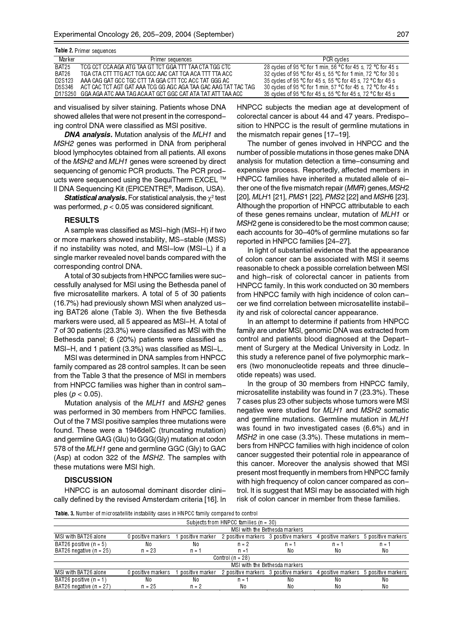| <b>Table 2</b> Primer sequences |                                                                    |                                                              |  |  |  |  |  |  |
|---------------------------------|--------------------------------------------------------------------|--------------------------------------------------------------|--|--|--|--|--|--|
| Marker                          | Primer sequences                                                   | PCR cycles                                                   |  |  |  |  |  |  |
| BAT25                           | TCG CCT CCA AGA ATG TAA GT TCT GGA TTT TAA CTA TGG CTC             | 28 cycles of 95 °C for 1 min, 56 °C for 45 s, 72 °C for 45 s |  |  |  |  |  |  |
| BAT26                           | TGA CTA CTT TTG ACT TCA GCC AAC CAT TCA ACA TTT TTA ACC            | 32 cycles of 95 °C for 45 s, 55 °C for 1 min, 72 °C for 30 s |  |  |  |  |  |  |
| D2S123                          | AAA CAG GAT GCC TGC CTT TA GGA CTT TCC ACC TAT GGG AC              | 35 cycles of 95 °C for 45 s, 55 °C for 45 s, 72 °C for 45 s  |  |  |  |  |  |  |
| D5S346                          | ACT CAC TCT AGT GAT AAA TCG GG AGC AGA TAA GAC AAG TAT TAC TAG     | 30 cycles of 95 °C for 1 min, 57 °C for 45 s, 72 °C for 45 s |  |  |  |  |  |  |
|                                 | D17S250 GGA AGA ATC AAA TAG ACA AT GCT GGC CAT ATA TAT ATT TAA ACC | 35 cycles of 95 °C for 45 s 55 °C for 45 s 72 °C for 45 s    |  |  |  |  |  |  |

and visualised by silver staining. Patients whose DNA showed alleles that were not present in the corresponding control DNA were classified as MSI positive.

**DNA analysis.** Mutation analysis of the MLH1 and MSH2 genes was performed in DNA from peripheral blood lymphocytes obtained from all patients. All exons of the MSH2 and MLH1 genes were screened by direct sequencing of genomic PCR products. The PCR products were sequenced using the SequiTherm EXCEL ™ II DNA Sequencing Kit (EPICENTRE®, Madison, USA).

**Statistical analysis.** For statistical analysis, the  $\chi^2$  test was performed,  $p < 0.05$  was considered significant.

### **RESULTS**

A sample was classified as MSI-high (MSI-H) if two or more markers showed instability, MS-stable (MSS) if no instability was noted, and MSI-low (MSI-L) if a single marker revealed novel bands compared with the corresponding control DNA.

A total of 30 subjects from HNPCC families were successfully analysed for MSI using the Bethesda panel of five microsatellite markers. A total of 5 of 30 patients (16.7%) had previously shown MSI when analyzed using BAT26 alone (Table 3). When the five Bethesda markers were used, all 5 appeared as MSI-H. A total of 7 of 30 patients (23.3%) were classified as MSI with the Bethesda panel; 6 (20%) patients were classified as MSI-H, and 1 patient (3.3%) was classified as MSI-L.

MSI was determined in DNA samples from HNPCC family compared as 28 control samples. It can be seen from the Table 3 that the presence of MSI in members from HNPCC families was higher than in control samples ( $p < 0.05$ ).

Mutation analysis of the MLH1 and MSH2 genes was performed in 30 members from HNPCC families. Out of the 7 MSI positive samples three mutations were found. These were a 1946delC (truncating mutation) and germline GAG (Glu) to GGG(Gly) mutation at codon 578 of the MLH1 gene and germline GGC (Gly) to GAC (Asp) at codon 322 of the MSH2. The samples with these mutations were MSI high.

#### **DISCUSSION**

HNPCC is an autosomal dominant disorder clinically defined by the revised Amsterdam criteria [16]. In HNPCC subjects the median age at development of colorectal cancer is about 44 and 47 years. Predisposition to HNPCC is the result of germline mutations in the mismatch repair genes [17-19].

The number of genes involved in HNPCC and the number of possible mutations in those genes make DNA analysis for mutation detection a time-consuming and expensive process. Reportedly, affected members in HNPCC families have inherited a mutated allele of either one of the five mismatch repair (MMR) genes, MSH2 [20], MLH1 [21], PMS1 [22], PMS2 [22] and MSH6 [23]. Although the proportion of HNPCC attributable to each of these genes remains unclear, mutation of MLH1 or MSH2 gene is considered to be the most common cause; each accounts for 30–40% of germline mutations so far reported in HNPCC families [24-27].

In light of substantial evidence that the appearance of colon cancer can be associated with MSI it seems reasonable to check a possible correlation between MSI and high-risk of colorectal cancer in patients from HNPCC family. In this work conducted on 30 members from HNPCC family with high incidence of colon cancer we find correlation between microsatellite instability and risk of colorectal cancer appearance.

In an attempt to determine if patients from HNPCC family are under MSI, genomic DNA was extracted from control and patients blood diagnosed at the Department of Surgery at the Medical University in Lodz. In this study a reference panel of five polymorphic markers (two mononucleotide repeats and three dinucleotide repeats) was used.

In the group of 30 members from HNPCC family, microsatellite instability was found in 7 (23.3%). These 7 cases plus 23 other subjects whose tumors were MSI negative were studied for MLH1 and MSH2 somatic and germline mutations. Germline mutation in MLH1 was found in two investigated cases (6.6%) and in MSH2 in one case (3.3%). These mutations in members from HNPCC families with high incidence of colon cancer suggested their potential role in appearance of this cancer. Moreover the analysis showed that MSI present most frequently in members from HNPCC family with high frequency of colon cancer compared as control. It is suggest that MSI may be associated with high risk of colon cancer in member from these families.

Table 3. Number of microsatellite instability cases in HNPCC family compared to control

| Subjects from HNPCC families $(n = 30)$ |                               |                 |                    |                    |                    |                    |  |  |  |  |
|-----------------------------------------|-------------------------------|-----------------|--------------------|--------------------|--------------------|--------------------|--|--|--|--|
|                                         | MSI with the Bethesda markers |                 |                    |                    |                    |                    |  |  |  |  |
| MSI with BAT26 alone                    | 0 positive markers            | positive marker | 2 positive markers | 3 positive markers | 4 positive markers | 5 positive markers |  |  |  |  |
| BAT26 positive $(n = 5)$                | No                            | No              | $n = 2$            | n = 1              | n = 1              | $n = 1$            |  |  |  |  |
| BAT26 negative $(n = 25)$               | $n = 23$                      | $n =$           | $n = 1$            | No                 | No                 | No.                |  |  |  |  |
| Control $(n = 28)$                      |                               |                 |                    |                    |                    |                    |  |  |  |  |
|                                         | MSI with the Bethesda markers |                 |                    |                    |                    |                    |  |  |  |  |
| MSI with BAT26 alone                    | 0 positive markers            | positive marker | 2 positive markers | 3 positive markers | 4 positive markers | 5 positive markers |  |  |  |  |
| BAT26 positive $(n = 1)$                | No                            | No              | $n =$              | No                 | No                 | No                 |  |  |  |  |
| BAT26 negative $(n = 27)$               | $n = 25$                      | $n = 2$         | No                 | No                 | No                 | No                 |  |  |  |  |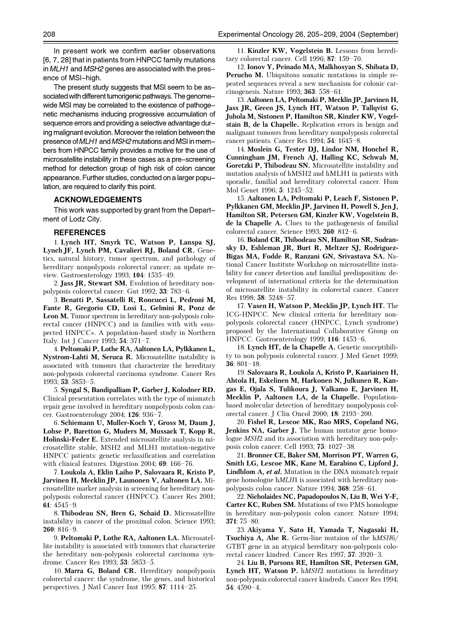In present work we confirm earlier observations [6, 7, 28] that in patients from HNPCC family mutations in MLH1 and MSH2 genes are associated with the presence of MSI-high.

The present study suggests that MSI seem to be associated with different tumorigenic pathways. The genomewide MSI may be correlated to the existence of pathogenetic mechanisms inducing progressive accumulation of sequence errors and providing a selective advantage during malignant evolution. Moreover the relation between the presence of MLH1 and MSH2 mutations and MSI in members from HNPCC family provides a motive for the use of microsatellite instability in these cases as a pre-screening method for detection group of high risk of colon cancer appearance. Further studies, conducted on a larger population, are required to clarify this point.

#### **ACKNOWLEDGEMENTS**

This work was supported by grant from the Department of Lodz City.

#### **REFERENCES**

1. Lynch HT, Smyrk TC, Watson P, Lanspa SJ, Lynch JF, Lynch PM, Cavalieri RJ, Boland CR. Genetics, natural history, tumor spectrum, and pathology of hereditary nonpolyposis colorectal cancer; an update review. Gastroenterology 1993; 104: 1535-49.

2. Jass JR, Stewart SM. Evolution of hereditary nonpolyposis colorectal cancer. Gut 1992; 33: 783-6.

3. Benatti P, Sassatelli R, Roncucci L, Pedroni M, Fante R, Gregorio CD, Losi L, Gelmini R, Ponz de Leon M. Tumor spectrum in hereditary non-polyposis colorectal cancer (HNPCC) and in families with with «suspected HNPCC». A population-based study in Northern Italy. Int J Cancer 1993; 54: 371-7.

4. Peltomaki P, Lothe RA, Aaltonen LA, Pylkkanen L, Nystrom-Lahti M, Seruca R. Microsatellite instability is associated with tumours that characterize the hereditary non-polyposis colorectal carcinoma syndrome. Cancer Res 1993; 53: 5853-5.

5. Syngal S, Bandipalliam P, Garber J, Kolodner RD. Clinical presentation correlates with the type of mismatch repair gene involved in hereditary nonpolyposis colon cancer. Gastroenterology 2004; 126: 936-7.

6. Schiemann U, Muller-Koch Y, Gross M, Daum J, Lohse P, Baretton G, Muders M, Mussack T, Kopp R, Holinski-Feder E. Extended microsatellite analysis in microsatellite stable, MSH2 and MLH1 mutation-negative HNPCC patients: genetic reclassification and correlation with clinical features. Digestion 2004;  $69:166-76$ .

7. Loukola A, Eklin Laiho P, Salovaara R, Kristo P, Jarvinen H, Mecklin JP, Launonen V, Aaltonen LA. Microsatellite marker analysis in screening for hereditary nonpolyposis colorectal cancer (HNPCC). Cancer Res 2001; 61:  $4545-9$ .

8. Thibodeau SN, Bren G, Schaid D. Microsatellite instability in cancer of the proximal colon. Science 1993;  $260:816-9.$ 

9. Peltomaki P, Lothe RA, Aaltonen LA. Microsatellite instability is associated with tumours that characterize the hereditary non-polyposis colorectal carcinoma syndrome. Cancer Res 1993; 53: 5853-5.

10. Marra G, Boland CR. Hereditary nonpolyposis colorectal cancer: the syndrome, the genes, and historical perspectives. J Natl Cancer Inst 1995; 87: 1114-25.

11. Kinzler KW, Vogelstein B. Lessons from hereditary colorectal cancer. Cell 1996; 87:  $159-70$ .

12. Ionov Y, Peinado MA, Malkhosyan S, Shibata D, Perucho M. Ubiquitous somatic mutations in simple repeated sequences reveal a new mechanism for colonic carcinogenesis. Nature 1993;  $363: 558-61$ 

13. Aaltonen LA, Peltomaki P, Mecklin JP, Jarvinen H, Jass JR, Green JS, Lynch HT, Watson P, Tallqvist G, Juhola M, Sistonen P, Hamilton SR, Kinzler KW, Vogelstain B, de la Chapelle. Replication errors in benign and malignant tumours from hereditary nonpolyposis colorectal cancer patients. Cancer Res 1994: 54: 1645-8.

14. Moslein G, Tester DJ, Lindor NM, Honchel R, Cunningham JM, French AJ, Halling KC, Schwab M, Goretzki P, Thibodeau SN. Microsatellite instability and mutation analysis of hMSH2 and hMLH1 in patients with sporadic, familial and hereditary colorectal cancer. Hum Mol Genet 1996; 5: 1245-52.

15. Aaltonen LA, Peltomaki P, Leach F, Sistonen P, Pylkkanen GM, Mecklin JP, Jarvinen H, Powell S, Jen J, Hamilton SR, Petersen GM, Kinzler KW, Vogelstein B, de la Chapelle A. Clues to the pathogenesis of familial colorectal cancer. Science 1993; 260: 812-6.

16. Boland CR, Thibodeau SN, Hamilton SR, Sudransky D, Eshleman JR, Burt R, Meltzer SJ, Rodriguez-Bigas MA, Fodde R, Ranzani GN, Srivastava SA. National Cancer Institute Workshop on microsatellite instability for cancer detection and familial predisposition: development of international criteria for the determination of microsatellite instability in colorectal cancer. Cancer Res 1998; 58: 5248-57.

17. Vasen H, Watson P, Mecklin JP, Lynch HT. The ICG-HNPCC. New clinical criteria for hereditary nonpolyposis colorectal cancer (HNPCC, Lynch syndrome) proposed by the International Collaborative Group on HNPCC. Gastroenterology 1999: 116: 1453-6.

18. Lynch HT, de la Chapelle A. Genetic susceptibility to non polyposis colorectal cancer. J Med Genet 1999; 36:  $801 - 18$ .

19. Salovaara R, Loukola A, Kristo P, Kaariainen H, Ahtola H, Eskelinen M, Harkonen N, Julkunen R, Kangas E, Ojala S, Tulikoura J, Valkamo E, Jarvinen H, Mecklin P, Aaltonen LA, de la Chapelle. Populationbased molecular detection of hereditary nonpolyposis colorectal cancer. J Clin Oncol 2000; 18: 2193-200.

20. Fishel R, Lescoe MK, Rao MRS, Copeland NG, Jenkins NA, Garber J. The human mutator gene homologue MSH2 and its association with hereditary non-polyposis colon cancer. Cell 1993; 75: 1027-38.

21. Bronner CE, Baker SM, Morrison PT, Warren G, Smith LG, Lescoe MK, Kane M, Earabino C, Lipford J, Lindblom A, et al. Mutation in the DNA mismatch repair gene homologue hMLH1 is associated with hereditary nonpolyposis colon cancer. Nature 1994; **368**: 258–61.

22. Nicholaides NC, Papadopoulos N, Liu B, Wei Y-F, **Carter KC, Ruben SM.** Mutations of two PMS homologue in hereditary non-polyposis colon cancer. Nature 1994;  $371:75 - 80.$ 

23. Akiyama Y, Sato H, Yamada T, Nagasaki H, Tsuchiya A, Abe R. Germ-line mutaion of the hMSH6/ GTBT gene in an atypical hereditary non-polyposis colorectal cancer kindred. Cancer Res 1997: 57: 3920-3.

24. Liu B, Parsons RE, Hamilton SR, Petersen GM, Lynch HT, Watson P. hMSH2 mutations in hereditary non-polyposis colorectal cancer kindreds. Cancer Res 1994;  $54:4590-4.$